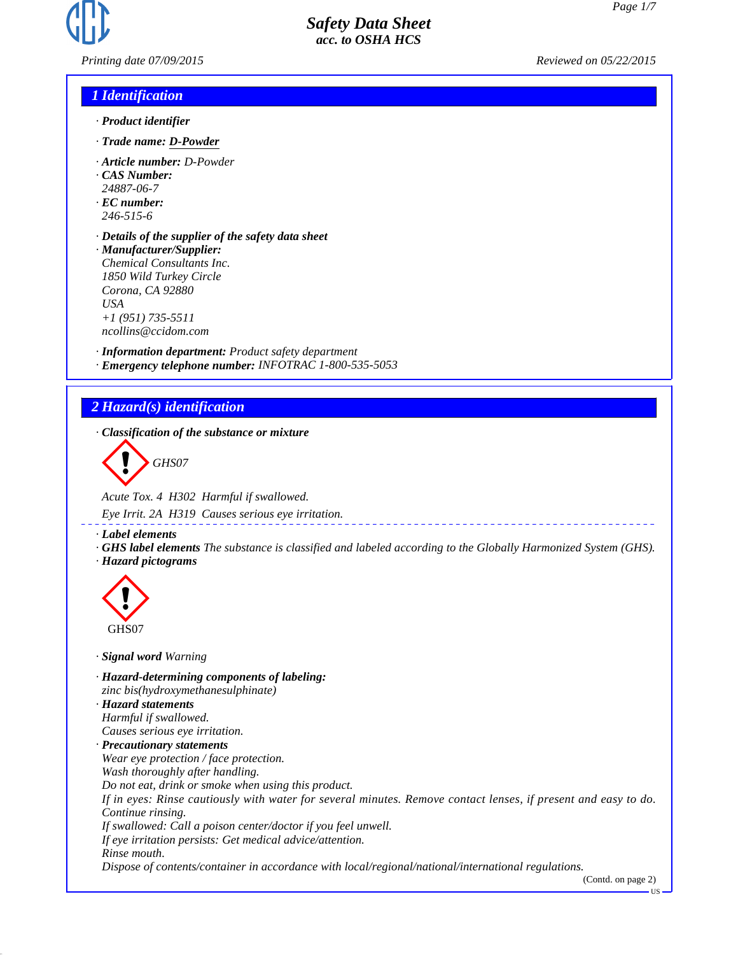

*Printing date 07/09/2015 Reviewed on 05/22/2015*

## *1 Identification*

- *· Product identifier*
- *· Trade name: D-Powder*
- *· Article number: D-Powder*
- *· CAS Number:*
- *24887-06-7*
- *· EC number: 246-515-6*
- *· Details of the supplier of the safety data sheet · Manufacturer/Supplier:*
- *Chemical Consultants Inc. 1850 Wild Turkey Circle Corona, CA 92880 USA +1 (951) 735-5511 ncollins@ccidom.com*

*· Information department: Product safety department · Emergency telephone number: INFOTRAC 1-800-535-5053*

# *2 Hazard(s) identification*

*· Classification of the substance or mixture*



*Acute Tox. 4 H302 Harmful if swallowed.*

*Eye Irrit. 2A H319 Causes serious eye irritation.*

*· Label elements*

*· GHS label elements The substance is classified and labeled according to the Globally Harmonized System (GHS). · Hazard pictograms*



- *· Signal word Warning*
- *· Hazard-determining components of labeling: zinc bis(hydroxymethanesulphinate) · Hazard statements Harmful if swallowed. Causes serious eye irritation. · Precautionary statements Wear eye protection / face protection. Wash thoroughly after handling. Do not eat, drink or smoke when using this product. If in eyes: Rinse cautiously with water for several minutes. Remove contact lenses, if present and easy to do. Continue rinsing. If swallowed: Call a poison center/doctor if you feel unwell. If eye irritation persists: Get medical advice/attention. Rinse mouth. Dispose of contents/container in accordance with local/regional/national/international regulations.*

(Contd. on page 2)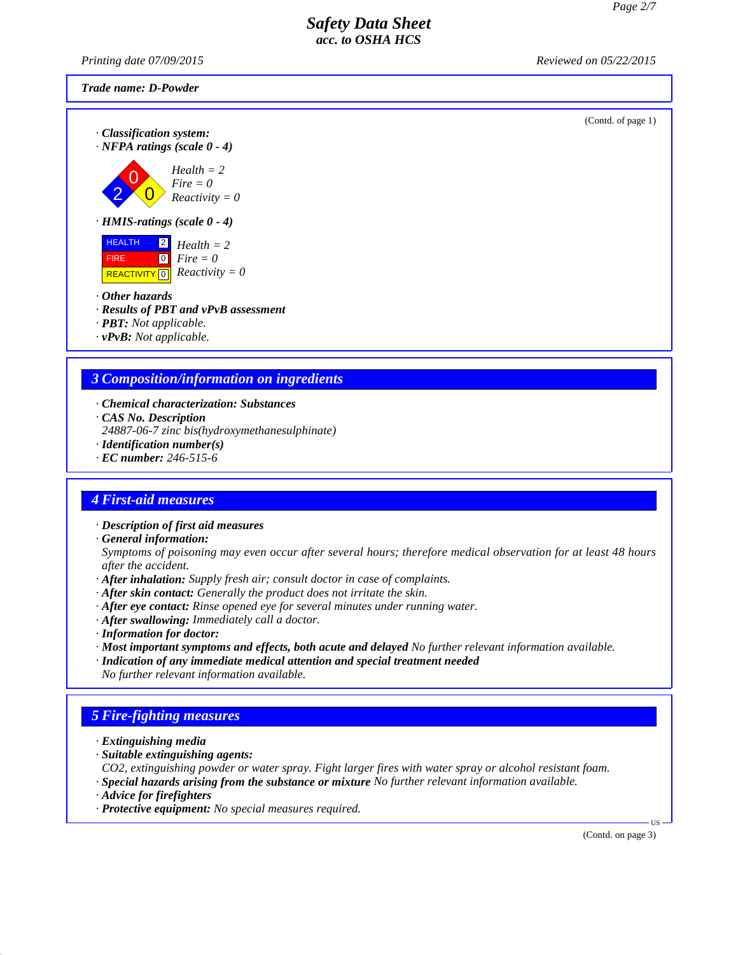(Contd. of page 1)

# *Safety Data Sheet acc. to OSHA HCS*

*Printing date 07/09/2015 Reviewed on 05/22/2015*

### *Trade name: D-Powder*

*· Classification system: · NFPA ratings (scale 0 - 4)*

$$
Health = 2
$$
\n
$$
File all the = 2
$$
\n
$$
Fire = 0
$$
\n
$$
Reactivity =
$$

 $\overline{\mathbf{0}}$  $= 0$ *Reactivity = 0*

*· HMIS-ratings (scale 0 - 4)*



- *· Other hazards*
- *· Results of PBT and vPvB assessment*
- *· PBT: Not applicable.*
- *· vPvB: Not applicable.*

# *3 Composition/information on ingredients*

- *· Chemical characterization: Substances*
- *· CAS No. Description*
- *24887-06-7 zinc bis(hydroxymethanesulphinate)*
- *· Identification number(s)*
- *· EC number: 246-515-6*

# *4 First-aid measures*

- *· Description of first aid measures*
- *· General information:*
- *Symptoms of poisoning may even occur after several hours; therefore medical observation for at least 48 hours after the accident.*
- *· After inhalation: Supply fresh air; consult doctor in case of complaints.*
- *· After skin contact: Generally the product does not irritate the skin.*
- *· After eye contact: Rinse opened eye for several minutes under running water.*
- *· After swallowing: Immediately call a doctor.*
- *· Information for doctor:*
- *· Most important symptoms and effects, both acute and delayed No further relevant information available.*
- *· Indication of any immediate medical attention and special treatment needed No further relevant information available.*

# *5 Fire-fighting measures*

- *· Extinguishing media*
- *· Suitable extinguishing agents:*

*CO2, extinguishing powder or water spray. Fight larger fires with water spray or alcohol resistant foam.*

- *· Special hazards arising from the substance or mixture No further relevant information available.*
- *· Advice for firefighters*
- *· Protective equipment: No special measures required.*

(Contd. on page 3)

US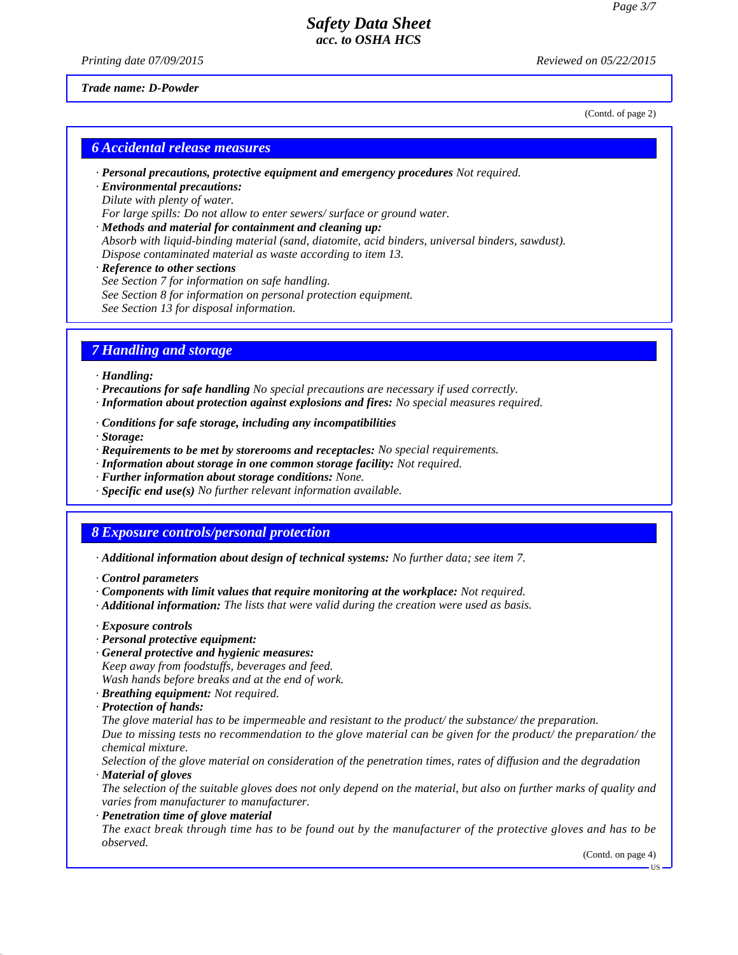*Printing date 07/09/2015 Reviewed on 05/22/2015*

(Contd. of page 2)

#### *Trade name: D-Powder*

*6 Accidental release measures*

- *· Personal precautions, protective equipment and emergency procedures Not required.*
- *· Environmental precautions: Dilute with plenty of water.*

*For large spills: Do not allow to enter sewers/ surface or ground water.*

- *· Methods and material for containment and cleaning up: Absorb with liquid-binding material (sand, diatomite, acid binders, universal binders, sawdust). Dispose contaminated material as waste according to item 13.*
- *· Reference to other sections*
- *See Section 7 for information on safe handling. See Section 8 for information on personal protection equipment. See Section 13 for disposal information.*

# *7 Handling and storage*

*· Handling:*

- *· Precautions for safe handling No special precautions are necessary if used correctly.*
- *· Information about protection against explosions and fires: No special measures required.*
- *· Conditions for safe storage, including any incompatibilities*

*· Storage:*

- *· Requirements to be met by storerooms and receptacles: No special requirements.*
- *· Information about storage in one common storage facility: Not required.*
- *· Further information about storage conditions: None.*
- *· Specific end use(s) No further relevant information available.*

# *8 Exposure controls/personal protection*

- *· Additional information about design of technical systems: No further data; see item 7.*
- *· Control parameters*
- *· Components with limit values that require monitoring at the workplace: Not required.*
- *· Additional information: The lists that were valid during the creation were used as basis.*
- *· Exposure controls*
- *· Personal protective equipment:*
- *· General protective and hygienic measures:*

*Keep away from foodstuffs, beverages and feed.*

*Wash hands before breaks and at the end of work.*

- *· Breathing equipment: Not required.*
- *· Protection of hands:*

*The glove material has to be impermeable and resistant to the product/ the substance/ the preparation. Due to missing tests no recommendation to the glove material can be given for the product/ the preparation/ the chemical mixture.*

*Selection of the glove material on consideration of the penetration times, rates of diffusion and the degradation · Material of gloves*

*The selection of the suitable gloves does not only depend on the material, but also on further marks of quality and varies from manufacturer to manufacturer.*

#### *· Penetration time of glove material*

*The exact break through time has to be found out by the manufacturer of the protective gloves and has to be observed.*

(Contd. on page 4)

US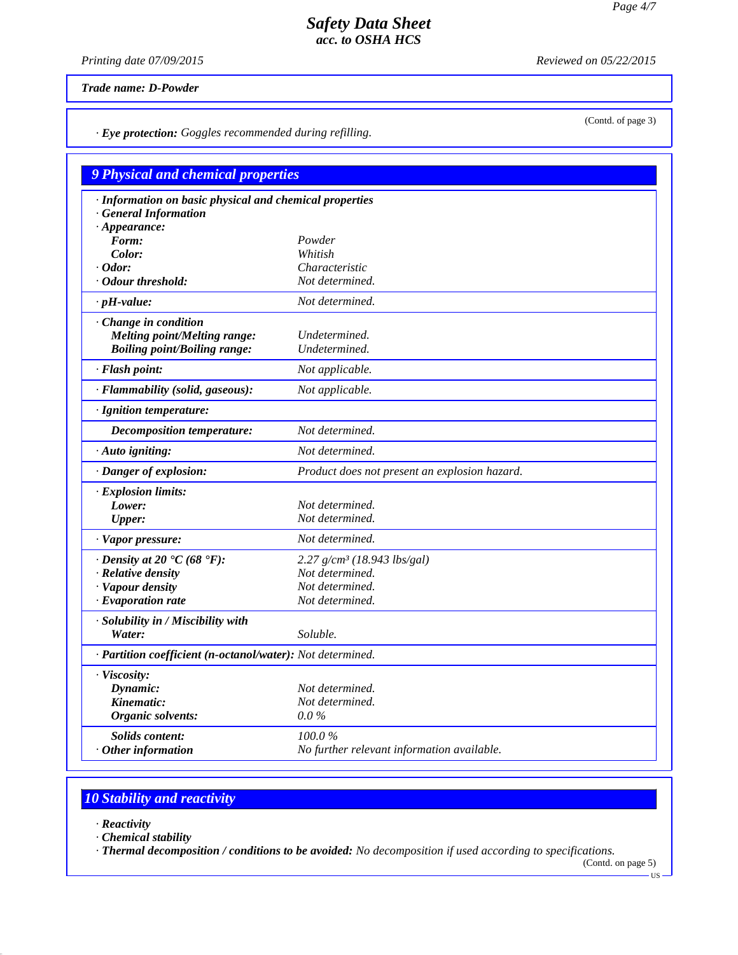*Printing date 07/09/2015 Reviewed on 05/22/2015*

*Trade name: D-Powder*

*· Eye protection: Goggles recommended during refilling.*

| · Information on basic physical and chemical properties<br><b>General Information</b> |                                               |
|---------------------------------------------------------------------------------------|-----------------------------------------------|
| $\cdot$ Appearance:<br>Form:                                                          | Powder                                        |
| Color:                                                                                | Whitish                                       |
| $\cdot$ Odor:                                                                         | Characteristic                                |
| Odour threshold:                                                                      | Not determined.                               |
| $\cdot$ pH-value:                                                                     | Not determined.                               |
| Change in condition                                                                   |                                               |
| <b>Melting point/Melting range:</b>                                                   | Undetermined.                                 |
| <b>Boiling point/Boiling range:</b>                                                   | Undetermined.                                 |
| · Flash point:                                                                        | Not applicable.                               |
| · Flammability (solid, gaseous):                                                      | Not applicable.                               |
| · Ignition temperature:                                                               |                                               |
| <b>Decomposition temperature:</b>                                                     | Not determined.                               |
| · Auto igniting:                                                                      | Not determined.                               |
| · Danger of explosion:                                                                | Product does not present an explosion hazard. |
| · Explosion limits:                                                                   |                                               |
| Lower:                                                                                | Not determined.                               |
| <b>Upper:</b>                                                                         | Not determined.                               |
| · Vapor pressure:                                                                     | Not determined.                               |
| $\cdot$ Density at 20 $\textdegree$ C (68 $\textdegree$ F):                           | $2.27$ g/cm <sup>3</sup> (18.943 lbs/gal)     |
| · Relative density                                                                    | Not determined.                               |
| · Vapour density                                                                      | Not determined.                               |
| $\cdot$ Evaporation rate                                                              | Not determined.                               |
| · Solubility in / Miscibility with                                                    |                                               |
| Water:                                                                                | Soluble.                                      |
| · Partition coefficient (n-octanol/water): Not determined.                            |                                               |
| · Viscosity:                                                                          |                                               |
| Dynamic:                                                                              | Not determined.                               |
| Kinematic:                                                                            | Not determined.                               |
| Organic solvents:                                                                     | $0.0\%$                                       |
| <b>Solids content:</b>                                                                | 100.0%                                        |
| $·$ Other information                                                                 | No further relevant information available.    |

# *10 Stability and reactivity*

- *· Reactivity*
- *· Chemical stability*

*· Thermal decomposition / conditions to be avoided: No decomposition if used according to specifications.*

(Contd. on page 5)

(Contd. of page 3)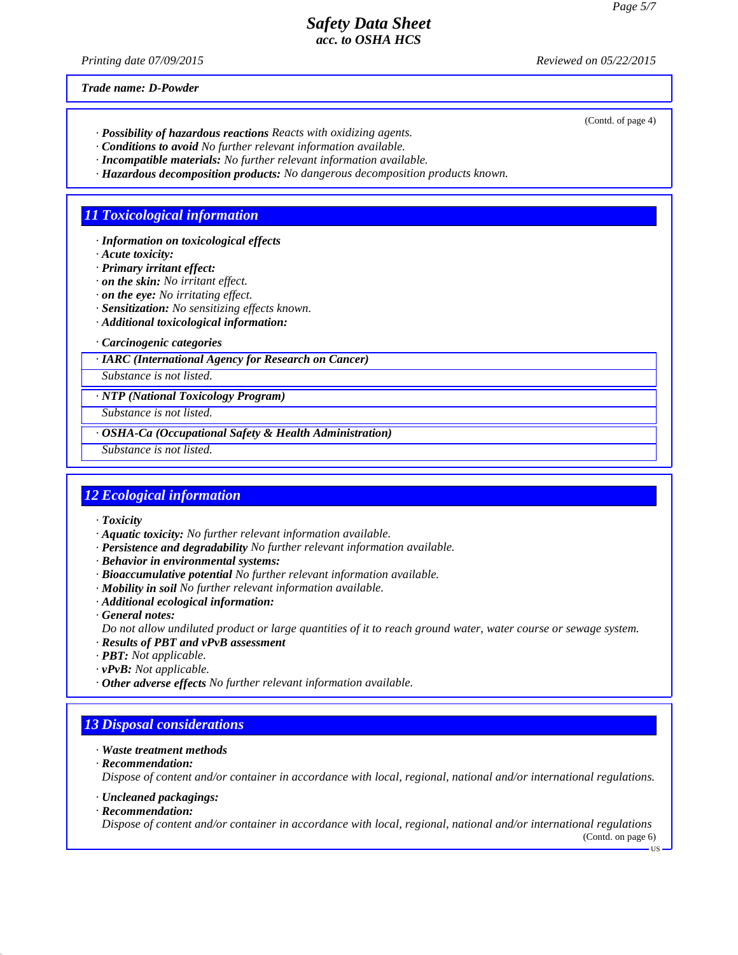(Contd. of page 4)

## *Safety Data Sheet acc. to OSHA HCS*

*Printing date 07/09/2015 Reviewed on 05/22/2015*

*Trade name: D-Powder*

- *· Possibility of hazardous reactions Reacts with oxidizing agents.*
- *· Conditions to avoid No further relevant information available.*
- *· Incompatible materials: No further relevant information available.*
- *· Hazardous decomposition products: No dangerous decomposition products known.*

# *11 Toxicological information*

- *· Information on toxicological effects*
- *· Acute toxicity:*
- *· Primary irritant effect:*
- *· on the skin: No irritant effect.*
- *· on the eye: No irritating effect.*
- *· Sensitization: No sensitizing effects known.*
- *· Additional toxicological information:*

#### *· Carcinogenic categories*

#### *· IARC (International Agency for Research on Cancer)*

*Substance is not listed.*

### *· NTP (National Toxicology Program)*

*Substance is not listed.*

### *· OSHA-Ca (Occupational Safety & Health Administration)*

*Substance is not listed.*

### *12 Ecological information*

- *· Toxicity*
- *· Aquatic toxicity: No further relevant information available.*
- *· Persistence and degradability No further relevant information available.*
- *· Behavior in environmental systems:*
- *· Bioaccumulative potential No further relevant information available.*
- *· Mobility in soil No further relevant information available.*
- *· Additional ecological information:*
- *· General notes:*
- *Do not allow undiluted product or large quantities of it to reach ground water, water course or sewage system.*
- *· Results of PBT and vPvB assessment*
- *· PBT: Not applicable.*
- *· vPvB: Not applicable.*
- *· Other adverse effects No further relevant information available.*

# *13 Disposal considerations*

- *· Waste treatment methods*
- *· Recommendation:*

*Dispose of content and/or container in accordance with local, regional, national and/or international regulations.*

- *· Uncleaned packagings:*
- *· Recommendation:*

*Dispose of content and/or container in accordance with local, regional, national and/or international regulations* (Contd. on page 6)

 $-11S$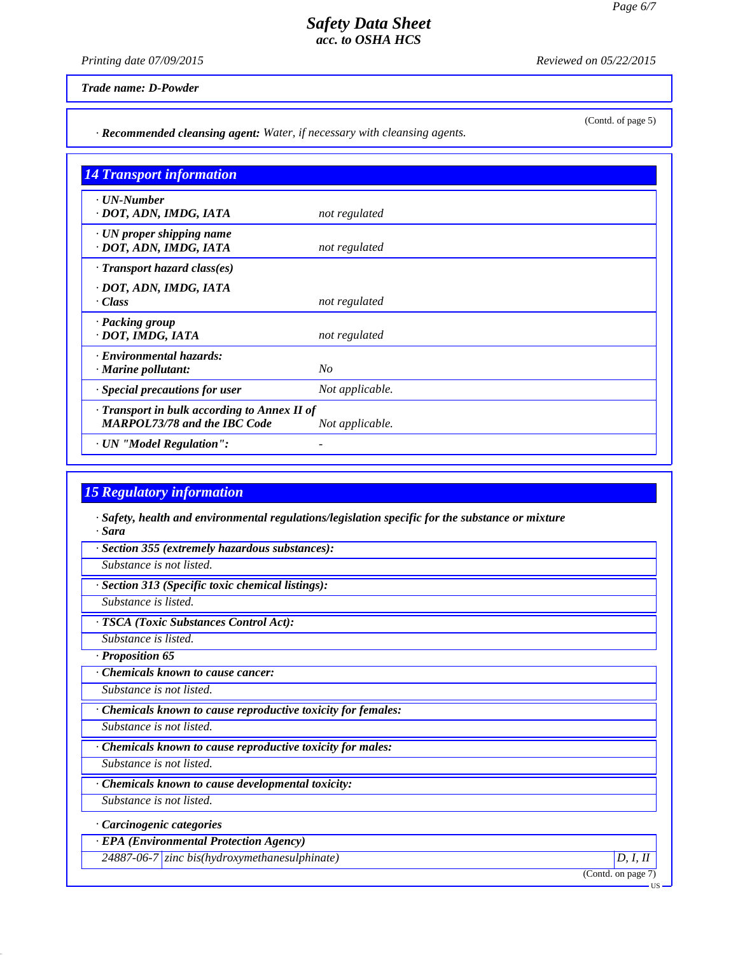*Printing date 07/09/2015 Reviewed on 05/22/2015*

(Contd. of page 5)

*Trade name: D-Powder*

*· Recommended cleansing agent: Water, if necessary with cleansing agents.*

| <b>14 Transport information</b>                                                     |                 |
|-------------------------------------------------------------------------------------|-----------------|
| $\cdot$ UN-Number<br>· DOT, ADN, IMDG, IATA                                         | not regulated   |
| $\cdot$ UN proper shipping name<br>· DOT, ADN, IMDG, IATA                           | not regulated   |
| $\cdot$ Transport hazard class(es)                                                  |                 |
| · DOT, ADN, IMDG, IATA<br>· Class                                                   | not regulated   |
| · Packing group<br>· DOT, IMDG, IATA                                                | not regulated   |
| · Environmental hazards:<br>$\cdot$ Marine pollutant:                               | $N_{O}$         |
| $\cdot$ Special precautions for user                                                | Not applicable. |
| · Transport in bulk according to Annex II of<br><b>MARPOL73/78 and the IBC Code</b> | Not applicable. |
| · UN "Model Regulation":                                                            |                 |

# *15 Regulatory information*

*· Safety, health and environmental regulations/legislation specific for the substance or mixture · Sara*

*· Section 355 (extremely hazardous substances):*

*Substance is not listed.*

*· Section 313 (Specific toxic chemical listings):*

*Substance is listed.*

*· TSCA (Toxic Substances Control Act):*

*Substance is listed.*

*· Proposition 65*

*· Chemicals known to cause cancer:*

*Substance is not listed.*

*· Chemicals known to cause reproductive toxicity for females:*

*Substance is not listed.*

*· Chemicals known to cause reproductive toxicity for males:*

*Substance is not listed.*

*· Chemicals known to cause developmental toxicity:*

*Substance is not listed.*

*· Carcinogenic categories*

*· EPA (Environmental Protection Agency)*

*24887-06-7 zinc bis(hydroxymethanesulphinate) D, I, II*

(Contd. on page 7)

US